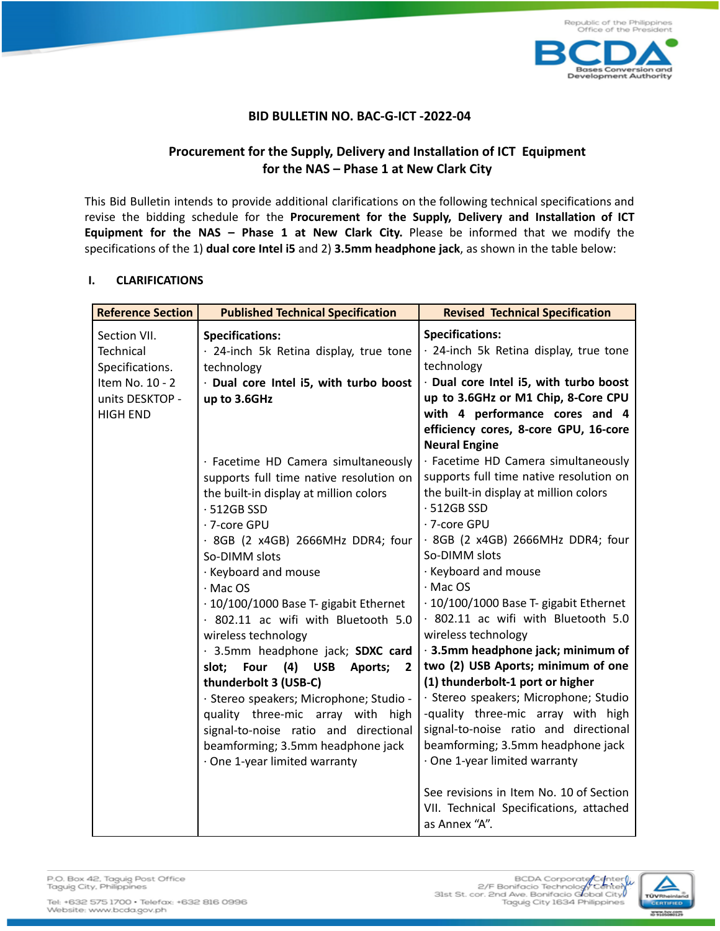

## **BID BULLETIN NO. BAC-G-ICT -2022-04**

## **Procurement for the Supply, Delivery and Installation of ICT Equipment for the NAS – Phase 1 at New Clark City**

This Bid Bulletin intends to provide additional clarifications on the following technical specifications and revise the bidding schedule for the **Procurement for the Supply, Delivery and Installation of ICT Equipment for the NAS – Phase 1 at New Clark City.** Please be informed that we modify the specifications of the 1) **dual core Intel i5** and 2) **3.5mm headphone jack**, as shown in the table below:

## **I. CLARIFICATIONS**

| <b>Reference Section</b> | <b>Published Technical Specification</b>         | <b>Revised Technical Specification</b>                   |
|--------------------------|--------------------------------------------------|----------------------------------------------------------|
| Section VII.             | <b>Specifications:</b>                           | <b>Specifications:</b>                                   |
| Technical                | · 24-inch 5k Retina display, true tone           | · 24-inch 5k Retina display, true tone                   |
| Specifications.          | technology                                       | technology                                               |
| Item No. 10 - 2          | · Dual core Intel i5, with turbo boost           | · Dual core Intel i5, with turbo boost                   |
| units DESKTOP -          | up to 3.6GHz                                     | up to 3.6GHz or M1 Chip, 8-Core CPU                      |
| <b>HIGH END</b>          |                                                  | with 4 performance cores and 4                           |
|                          |                                                  | efficiency cores, 8-core GPU, 16-core                    |
|                          |                                                  | <b>Neural Engine</b>                                     |
|                          | · Facetime HD Camera simultaneously              | · Facetime HD Camera simultaneously                      |
|                          | supports full time native resolution on          | supports full time native resolution on                  |
|                          | the built-in display at million colors           | the built-in display at million colors                   |
|                          | $-512GB$ SSD                                     | $-512GB$ SSD                                             |
|                          | · 7-core GPU                                     | · 7-core GPU                                             |
|                          | · 8GB (2 x4GB) 2666MHz DDR4; four                | · 8GB (2 x4GB) 2666MHz DDR4; four                        |
|                          | So-DIMM slots                                    | So-DIMM slots                                            |
|                          | · Keyboard and mouse                             | · Keyboard and mouse                                     |
|                          | $·$ Mac OS                                       | $·$ Mac OS                                               |
|                          | · 10/100/1000 Base T- gigabit Ethernet           | · 10/100/1000 Base T- gigabit Ethernet                   |
|                          | · 802.11 ac wifi with Bluetooth 5.0              | · 802.11 ac wifi with Bluetooth 5.0                      |
|                          | wireless technology                              | wireless technology                                      |
|                          | · 3.5mm headphone jack; SDXC card                | · 3.5mm headphone jack; minimum of                       |
|                          | Four (4) USB<br>slot;<br>Aports;<br>$\mathbf{2}$ | two (2) USB Aports; minimum of one                       |
|                          | thunderbolt 3 (USB-C)                            | (1) thunderbolt-1 port or higher                         |
|                          | · Stereo speakers; Microphone; Studio -          | · Stereo speakers; Microphone; Studio                    |
|                          | quality three-mic array with high                | -quality three-mic array with high                       |
|                          | signal-to-noise ratio and directional            | signal-to-noise ratio and directional                    |
|                          | beamforming; 3.5mm headphone jack                | beamforming; 3.5mm headphone jack                        |
|                          | · One 1-year limited warranty                    | · One 1-year limited warranty                            |
|                          |                                                  |                                                          |
|                          |                                                  | See revisions in Item No. 10 of Section                  |
|                          |                                                  | VII. Technical Specifications, attached<br>as Annex "A". |
|                          |                                                  |                                                          |